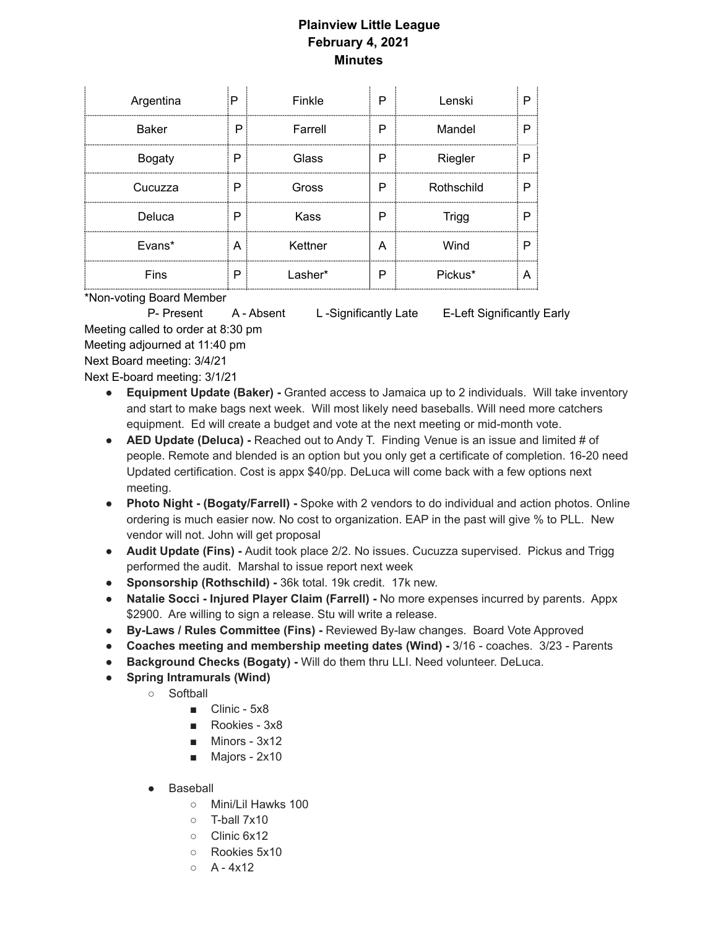## **Plainview Little League February 4, 2021 Minutes**

| Argentina     | :P | Finkle  | P     | Lenski     | n |
|---------------|----|---------|-------|------------|---|
| <b>Baker</b>  | P  | Farrell | P<br> | Mandel     |   |
| <b>Bogaty</b> | P  | Glass   | P     | Riegler    |   |
| Cucuzza       | P  | Gross   | P     | Rothschild | D |
| Deluca        | P  | Kass    | P     | Trigg      |   |
| Evans*        | A  | Kettner | А     | Wind       |   |
| Fins          | P  | Lasher* | P     | Pickus*    |   |

\*Non-voting Board Member

P- Present A - Absent L -Significantly Late E-Left Significantly Early Meeting called to order at 8:30 pm

Meeting adjourned at 11:40 pm

Next Board meeting: 3/4/21

Next E-board meeting: 3/1/21

- **● Equipment Update (Baker) -** Granted access to Jamaica up to 2 individuals. Will take inventory and start to make bags next week. Will most likely need baseballs. Will need more catchers equipment. Ed will create a budget and vote at the next meeting or mid-month vote.
- **● AED Update (Deluca) -** Reached out to Andy T. Finding Venue is an issue and limited # of people. Remote and blended is an option but you only get a certificate of completion. 16-20 need Updated certification. Cost is appx \$40/pp. DeLuca will come back with a few options next meeting.
- **● Photo Night - (Bogaty/Farrell) -** Spoke with 2 vendors to do individual and action photos. Online ordering is much easier now. No cost to organization. EAP in the past will give % to PLL. New vendor will not. John will get proposal
- **● Audit Update (Fins) -** Audit took place 2/2. No issues. Cucuzza supervised. Pickus and Trigg performed the audit. Marshal to issue report next week
- **● Sponsorship (Rothschild) -** 36k total. 19k credit. 17k new.
- **● Natalie Socci - Injured Player Claim (Farrell) -** No more expenses incurred by parents. Appx \$2900. Are willing to sign a release. Stu will write a release.
- **● By-Laws / Rules Committee (Fins) -** Reviewed By-law changes. Board Vote Approved
- **● Coaches meeting and membership meeting dates (Wind) -** 3/16 coaches. 3/23 Parents
- **● Background Checks (Bogaty) -** Will do them thru LLI. Need volunteer. DeLuca.
- **● Spring Intramurals (Wind)**
	- Softball
		- Clinic 5x8
		- Rookies 3x8
		- Minors 3x12
		- Majors 2x10
	- Baseball
		- Mini/Lil Hawks 100
		- T-ball 7x10
		- Clinic 6x12
		- Rookies 5x10
		- $O \left( A 4x12 \right)$